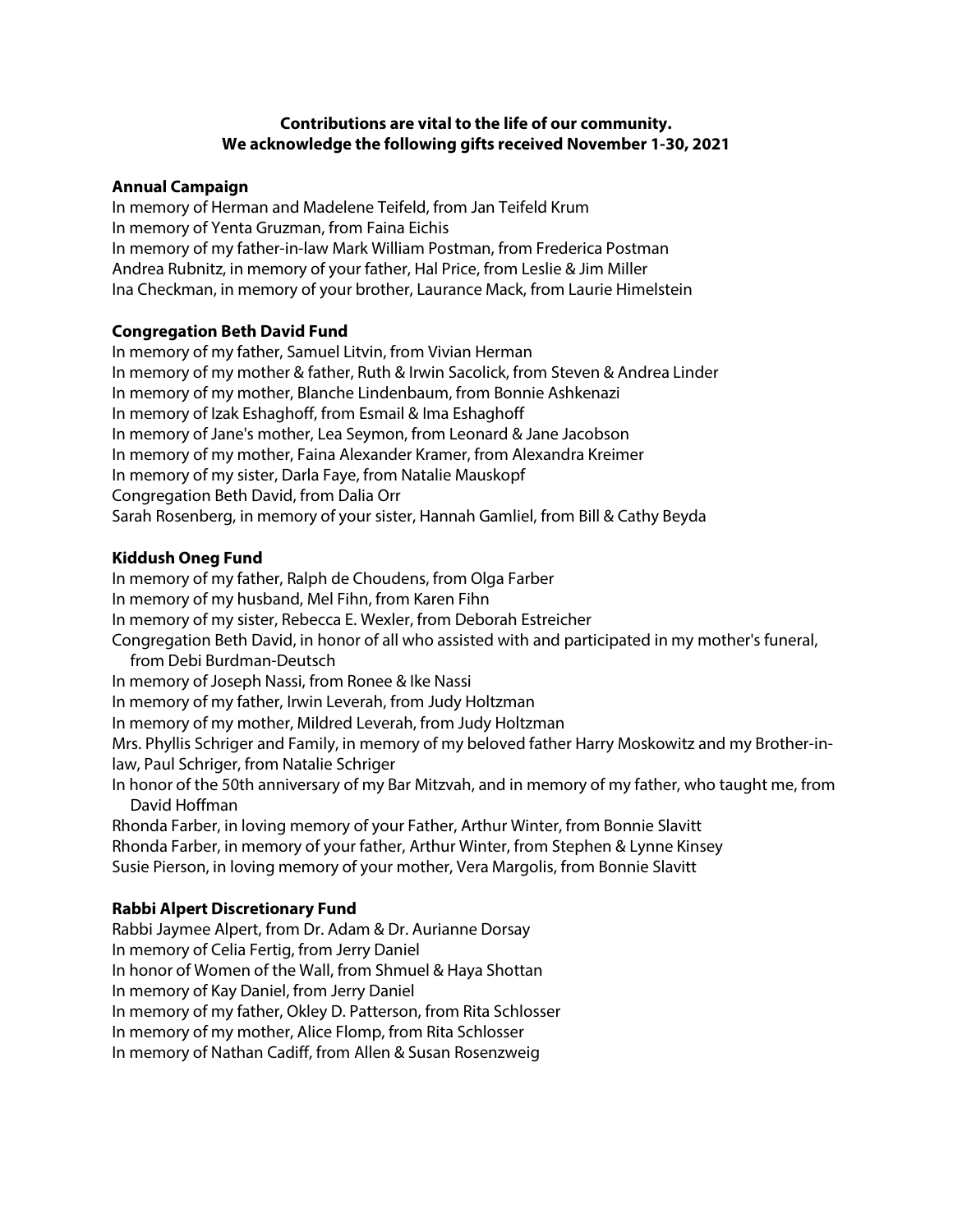## **Contributions are vital to the life of our community. We acknowledge the following gifts received November 1-30, 2021**

### **Annual Campaign**

In memory of Herman and Madelene Teifeld, from Jan Teifeld Krum In memory of Yenta Gruzman, from Faina Eichis In memory of my father-in-law Mark William Postman, from Frederica Postman Andrea Rubnitz, in memory of your father, Hal Price, from Leslie & Jim Miller Ina Checkman, in memory of your brother, Laurance Mack, from Laurie Himelstein

## **Congregation Beth David Fund**

In memory of my father, Samuel Litvin, from Vivian Herman In memory of my mother & father, Ruth & Irwin Sacolick, from Steven & Andrea Linder In memory of my mother, Blanche Lindenbaum, from Bonnie Ashkenazi In memory of Izak Eshaghoff, from Esmail & Ima Eshaghoff In memory of Jane's mother, Lea Seymon, from Leonard & Jane Jacobson In memory of my mother, Faina Alexander Kramer, from Alexandra Kreimer In memory of my sister, Darla Faye, from Natalie Mauskopf Congregation Beth David, from Dalia Orr Sarah Rosenberg, in memory of your sister, Hannah Gamliel, from Bill & Cathy Beyda

#### **Kiddush Oneg Fund**

In memory of my father, Ralph de Choudens, from Olga Farber In memory of my husband, Mel Fihn, from Karen Fihn In memory of my sister, Rebecca E. Wexler, from Deborah Estreicher Congregation Beth David, in honor of all who assisted with and participated in my mother's funeral, from Debi Burdman-Deutsch In memory of Joseph Nassi, from Ronee & Ike Nassi In memory of my father, Irwin Leverah, from Judy Holtzman In memory of my mother, Mildred Leverah, from Judy Holtzman Mrs. Phyllis Schriger and Family, in memory of my beloved father Harry Moskowitz and my Brother-inlaw, Paul Schriger, from Natalie Schriger In honor of the 50th anniversary of my Bar Mitzvah, and in memory of my father, who taught me, from David Hoffman Rhonda Farber, in loving memory of your Father, Arthur Winter, from Bonnie Slavitt Rhonda Farber, in memory of your father, Arthur Winter, from Stephen & Lynne Kinsey Susie Pierson, in loving memory of your mother, Vera Margolis, from Bonnie Slavitt **Rabbi Alpert Discretionary Fund** Rabbi Jaymee Alpert, from Dr. Adam & Dr. Aurianne Dorsay

In memory of Celia Fertig, from Jerry Daniel In honor of Women of the Wall, from Shmuel & Haya Shottan In memory of Kay Daniel, from Jerry Daniel In memory of my father, Okley D. Patterson, from Rita Schlosser In memory of my mother, Alice Flomp, from Rita Schlosser In memory of Nathan Cadiff, from Allen & Susan Rosenzweig